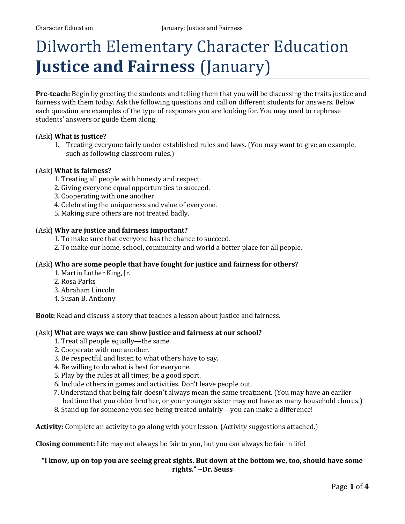# Dilworth Elementary Character Education **Justice and Fairness** (January)

**Pre-teach:** Begin by greeting the students and telling them that you will be discussing the traits justice and fairness with them today. Ask the following questions and call on different students for answers. Below each question are examples of the type of responses you are looking for. You may need to rephrase students' answers or guide them along.

# (Ask) **What is justice?**

1. Treating everyone fairly under established rules and laws. (You may want to give an example, such as following classroom rules.)

#### (Ask) **What is fairness?**

- 1. Treating all people with honesty and respect.
- 2. Giving everyone equal opportunities to succeed.
- 3. Cooperating with one another.
- 4. Celebrating the uniqueness and value of everyone.
- 5. Making sure others are not treated badly.

#### (Ask) **Why are justice and fairness important?**

- 1. To make sure that everyone has the chance to succeed.
- 2. To make our home, school, community and world a better place for all people.

#### (Ask) **Who are some people that have fought for justice and fairness for others?**

- 1. Martin Luther King, Jr.
- 2. Rosa Parks
- 3. Abraham Lincoln
- 4. Susan B. Anthony

**Book:** Read and discuss a story that teaches a lesson about justice and fairness.

#### (Ask) **What are ways we can show justice and fairness at our school?**

- 1. Treat all people equally—the same.
- 2. Cooperate with one another.
- 3. Be respectful and listen to what others have to say.
- 4. Be willing to do what is best for everyone.
- 5. Play by the rules at all times; be a good sport.
- 6. Include others in games and activities. Don't leave people out.
- 7. Understand that being fair doesn't always mean the same treatment. (You may have an earlier bedtime that you older brother, or your younger sister may not have as many household chores.)
- 8. Stand up for someone you see being treated unfairly—you can make a difference!

**Activity:** Complete an activity to go along with your lesson. (Activity suggestions attached.)

**Closing comment:** Life may not always be fair to you, but you can always be fair in life!

# **"I know, up on top you are seeing great sights. But down at the bottom we, too, should have some rights." ~Dr. Seuss**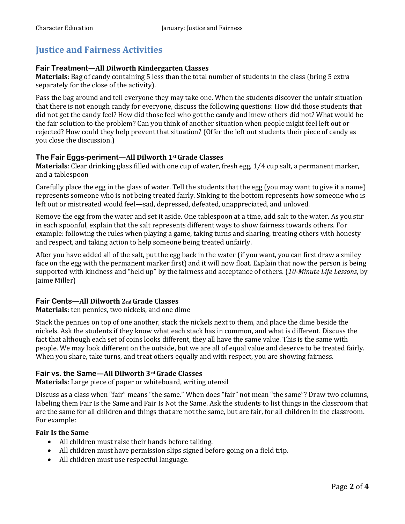# **Justice and Fairness Activities**

## **Fair Treatment—All Dilworth Kindergarten Classes**

**Materials**: Bag of candy containing 5 less than the total number of students in the class (bring 5 extra separately for the close of the activity).

Pass the bag around and tell everyone they may take one. When the students discover the unfair situation that there is not enough candy for everyone, discuss the following questions: How did those students that did not get the candy feel? How did those feel who got the candy and knew others did not? What would be the fair solution to the problem? Can you think of another situation when people might feel left out or rejected? How could they help prevent that situation? (Offer the left out students their piece of candy as you close the discussion.)

# **The Fair Eggs-periment—All Dilworth 1stGrade Classes**

**Materials**: Clear drinking glass filled with one cup of water, fresh egg, 1⁄4 cup salt, a permanent marker, and a tablespoon

Carefully place the egg in the glass of water. Tell the students that the egg (you may want to give it a name) represents someone who is not being treated fairly. Sinking to the bottom represents how someone who is left out or mistreated would feel—sad, depressed, defeated, unappreciated, and unloved.

Remove the egg from the water and set it aside. One tablespoon at a time, add salt to the water. As you stir in each spoonful, explain that the salt represents different ways to show fairness towards others. For example: following the rules when playing a game, taking turns and sharing, treating others with honesty and respect, and taking action to help someone being treated unfairly.

After you have added all of the salt, put the egg back in the water (if you want, you can first draw a smiley face on the egg with the permanent marker first) and it will now float. Explain that now the person is being supported with kindness and "held up" by the fairness and acceptance of others. (*10-Minute Life Lessons*, by Jaime Miller)

# **Fair Cents—All Dilworth 2nd Grade Classes**

**Materials**: ten pennies, two nickels, and one dime

Stack the pennies on top of one another, stack the nickels next to them, and place the dime beside the nickels. Ask the students if they know what each stack has in common, and what is different. Discuss the fact that although each set of coins looks different, they all have the same value. This is the same with people. We may look different on the outside, but we are all of equal value and deserve to be treated fairly. When you share, take turns, and treat others equally and with respect, you are showing fairness.

# **Fair vs. the Same—All Dilworth 3rdGrade Classes**

**Materials**: Large piece of paper or whiteboard, writing utensil

Discuss as a class when "fair" means "the same." When does "fair" not mean "the same"? Draw two columns, labeling them Fair Is the Same and Fair Is Not the Same. Ask the students to list things in the classroom that are the same for all children and things that are not the same, but are fair, for all children in the classroom. For example:

### **Fair Is the Same**

- All children must raise their hands before talking.
- All children must have permission slips signed before going on a field trip.
- All children must use respectful language.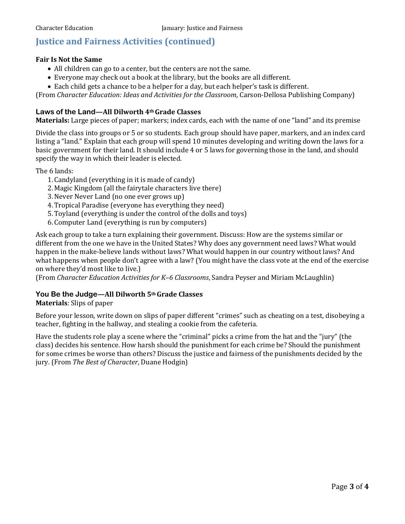# **Justice and Fairness Activities (continued)**

#### **Fair Is Not the Same**

- All children can go to a center, but the centers are not the same.
- Everyone may check out a book at the library, but the books are all different.
- Each child gets a chance to be a helper for a day, but each helper's task is different.

(From *Character Education: Ideas and Activities for the Classroom*, Carson-Dellosa Publishing Company)

# **Laws of the Land—All Dilworth 4thGrade Classes**

**Materials:** Large pieces of paper; markers; index cards, each with the name of one "land" and its premise

Divide the class into groups or 5 or so students. Each group should have paper, markers, and an index card listing a "land." Explain that each group will spend 10 minutes developing and writing down the laws for a basic government for their land. It should include 4 or 5 laws for governing those in the land, and should specify the way in which their leader is elected.

The 6 lands:

- 1. Candyland (everything in it is made of candy)
- 2. Magic Kingdom (all the fairytale characters live there)
- 3.Never Never Land (no one ever grows up)
- 4.Tropical Paradise (everyone has everything they need)
- 5.Toyland (everything is under the control of the dolls and toys)
- 6. Computer Land (everything is run by computers)

Ask each group to take a turn explaining their government. Discuss: How are the systems similar or different from the one we have in the United States? Why does any government need laws? What would happen in the make-believe lands without laws? What would happen in our country without laws? And what happens when people don't agree with a law? (You might have the class vote at the end of the exercise on where they'd most like to live.)

(From *Character Education Activities for K–6 Classrooms*, Sandra Peyser and Miriam McLaughlin)

## **You Be the Judge—All Dilworth 5thGrade Classes**

**Materials**: Slips of paper

Before your lesson, write down on slips of paper different "crimes" such as cheating on a test, disobeying a teacher, fighting in the hallway, and stealing a cookie from the cafeteria.

Have the students role play a scene where the "criminal" picks a crime from the hat and the "jury" (the class) decides his sentence. How harsh should the punishment for each crime be? Should the punishment for some crimes be worse than others? Discuss the justice and fairness of the punishments decided by the jury. (From *The Best of Character*, Duane Hodgin)